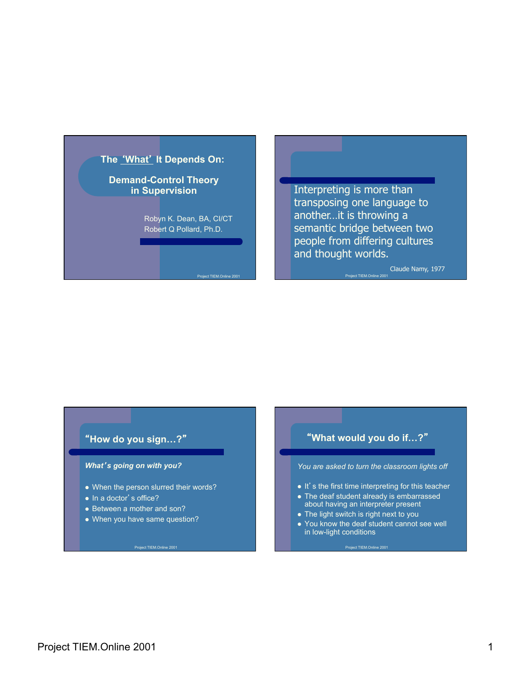

Project TIEM.Online 2001

Interpreting is more than transposing one language to another…it is throwing a semantic bridge between two people from differing cultures and thought worlds.

Project TIEM.Online 2001

Claude Namy, 1977

#### "**How do you sign…?**"

#### *What*'*s going on with you?*

- When the person slurred their words?
- In a doctor's office?
- Between a mother and son?
- When you have same question?

# "**What would you do if…?**" *You are asked to turn the classroom lights off*   $\bullet$  It's the first time interpreting for this teacher • The deaf student already is embarrassed about having an interpreter present • The light switch is right next to you • You know the deaf student cannot see well in low-light conditions

Project TIEM.Online 2001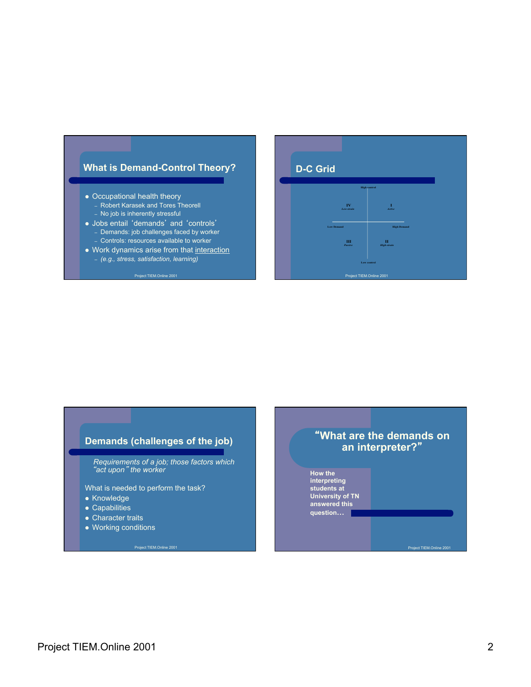## **What is Demand-Control Theory?**

- Occupational health theory
	- Robert Karasek and Tores Theorell – No job is inherently stressful
	-
- l Jobs entail 'demands' and 'controls' – Demands: job challenges faced by worker
	- Controls: resources available to worker
- Work dynamics arise from that interaction
	- *(e.g., stress, satisfaction, learning)*

#### Project TIFM Online 2001



## **Demands (challenges of the job)**

 *Requirements of a job; those factors which*  "*act upon*" *the worker* 

What is needed to perform the task?

- Knowledge
- $\bullet$  Capabilities
- Character traits
- Working conditions

## "**What are the demands on an interpreter?**"

**How the interpreting students at University of TN answered this question…**

ct TIEM.Online 200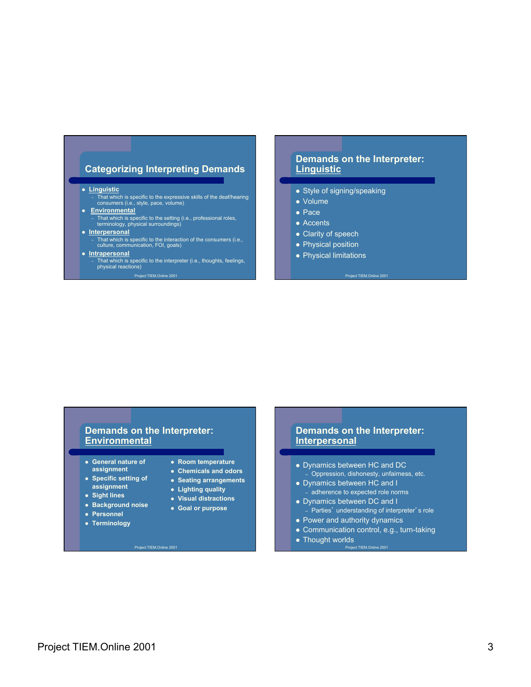#### **Categorizing Interpreting Demands**

**e** Linguistic

– That which is specific to the expressive skills of the deaf/hearing consumers (i.e., style, pace, volume)

- **e** Environmental
- That which is specific to the setting (i.e., professional roles, terminology, physical surroundings)

#### **• Interpersonal**

# – That which is specific to the interaction of the consumers (i.e., culture, communication, FOI, goals)

- **•** Intrapersonal
	- That which is specific to the interpreter (i.e., thoughts, feelings, physical reactions) Project TIFM Online 20

#### **Demands on the Interpreter: Linguistic**

- Style of signing/speaking
- $\bullet$  Volume
- $\bullet$  Pace
- $\bullet$  Accents
- Clarity of speech
- Physical position
- Physical limitations

Project TIFM Only

#### **Demands on the Interpreter: Environmental**

- **e** General nature of **assignment**
- **Specific setting of assignment**
- $\bullet$  Sight lines
- **e** Background noise
- **Personnel**
- **Terminology**
- **Room temperature**
- **Chemicals and odors**
- **Seating arrangements**
- l **Lighting quality**
- $\bullet$  Visual distractions
- **Goal or purpose**

### **Demands on the Interpreter: Interpersonal**

- Dynamics between HC and DC – Oppression, dishonesty, unfairness, etc.
- Dynamics between HC and I – adherence to expected role norms
- Dynamics between DC and I
- Parties' understanding of interpreter's role • Power and authority dynamics
- Communication control, e.g., turn-taking
- Thought worlds Project TIEM.Online 2001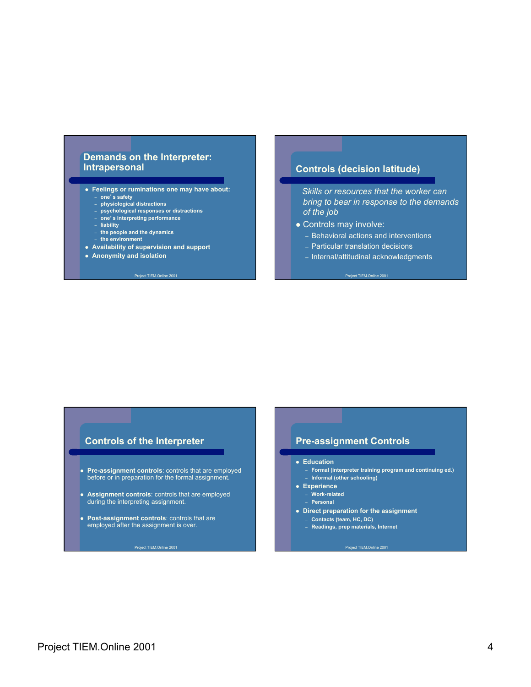### **Demands on the Interpreter: Intrapersonal**

- **Feelings or ruminations one may have about:** – **one**'**s safety** 
	- **physiological distractions**
	- **psychological responses or distractions**
	- **one**'**s interpreting performance**
- **liability**
- **the people and the dynamics**
- **the environment**
- l **Availability of supervision and support**
- **Anonymity and isolation**

#### Project TIEM.Online 20

#### **Controls (decision latitude)**

 *Skills or resources that the worker can bring to bear in response to the demands of the job* 

- Controls may involve:
	- Behavioral actions and interventions
	- Particular translation decisions
	- Internal/attitudinal acknowledgments

Project TIEM.Online 2001

#### **Controls of the Interpreter**

- **Pre-assignment controls**: controls that are employed before or in preparation for the formal assignment.
- **Assignment controls**: controls that are employed during the interpreting assignment.
- **Post-assignment controls**: controls that are employed after the assignment is over.

#### **Pre-assignment Controls**

#### **e** Education

- **Formal (interpreter training program and continuing ed.)**  – **Informal (other schooling)**
- **e** Experience
- **Work-related**
- **Personal**
- **Direct preparation for the assignment** 
	- **Contacts (team, HC, DC)**
	- **Readings, prep materials, Internet**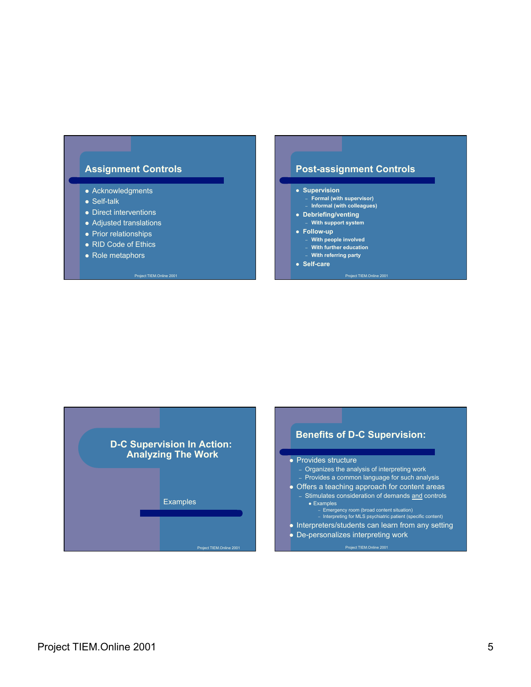## **Assignment Controls**

- Acknowledgments
- $\bullet$  Self-talk
- $\bullet$  Direct interventions
- Adjusted translations
- Prior relationships
- RID Code of Ethics

Protect TIEM.Online

 $\bullet$  Role metaphors

# **Post-assignment Controls**

#### **• Supervision**

- **Formal (with supervisor)**
- **Informal (with colleagues)**
- **•** Debriefing/venting – **With support system**

#### **• Follow-up**

- **With people involved**
- **With further education**
- **With referring party**
- $\bullet$  Self-care

ect TIEM.On